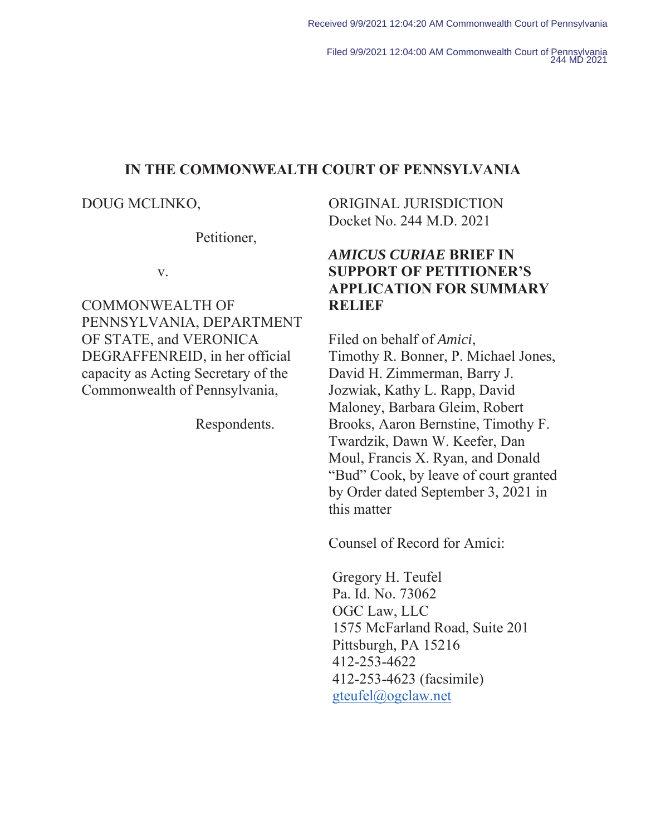Filed 9/9/2021 12:04:00 AM Commonwealth Court of Pennsylvania 244 MD 2021

### **IN THE COMMONWEALTH COURT OF PENNSYLVANIA**

DOUG MCLINKO,

Petitioner,

v.

COMMONWEALTH OF PENNSYLVANIA, DEPARTMENT OF STATE, and VERONICA DEGRAFFENREID, in her official capacity as Acting Secretary of the Commonwealth of Pennsylvania,

Respondents.

ORIGINAL JURISDICTION Docket No. 244 M.D. 2021

## *AMICUS CURIAE* **BRIEF IN SUPPORT OF PETITIONER'S APPLICATION FOR SUMMARY RELIEF**

Filed on behalf of *Amici*, Timothy R. Bonner, P. Michael Jones, David H. Zimmerman, Barry J. Jozwiak, Kathy L. Rapp, David Maloney, Barbara Gleim, Robert Brooks, Aaron Bernstine, Timothy F. Twardzik, Dawn W. Keefer, Dan Moul, Francis X. Ryan, and Donald "Bud" Cook, by leave of court granted by Order dated September 3, 2021 in this matter

Counsel of Record for Amici:

Gregory H. Teufel Pa. Id. No. 73062 OGC Law, LLC 1575 McFarland Road, Suite 201 Pittsburgh, PA 15216 412-253-4622 412-253-4623 (facsimile) gteufel@ogclaw.net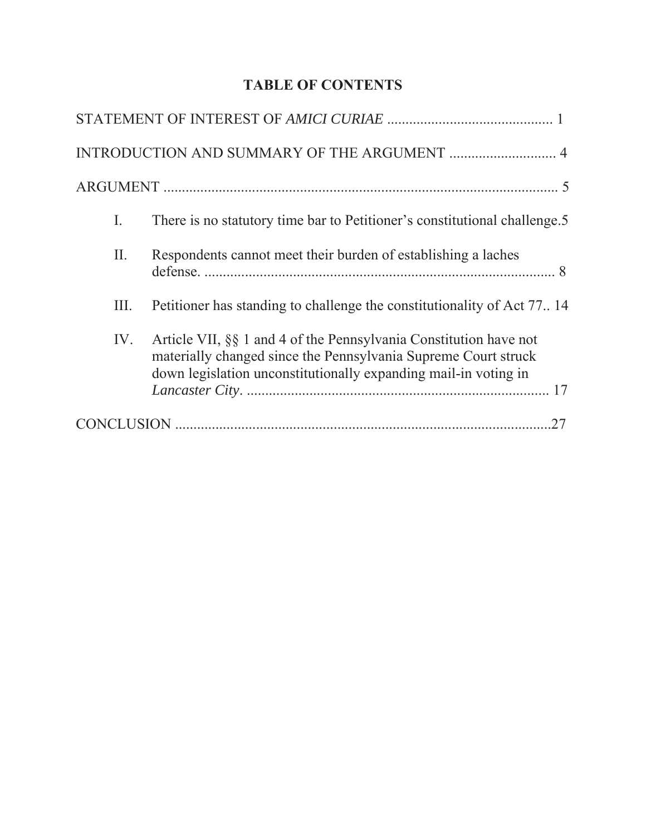# **TABLE OF CONTENTS**

| Ι.   | There is no statutory time bar to Petitioner's constitutional challenge.5                                                                                                                              |
|------|--------------------------------------------------------------------------------------------------------------------------------------------------------------------------------------------------------|
| П.   | Respondents cannot meet their burden of establishing a laches                                                                                                                                          |
| III. | Petitioner has standing to challenge the constitutionality of Act 7714                                                                                                                                 |
| IV.  | Article VII, §§ 1 and 4 of the Pennsylvania Constitution have not<br>materially changed since the Pennsylvania Supreme Court struck<br>down legislation unconstitutionally expanding mail-in voting in |
|      |                                                                                                                                                                                                        |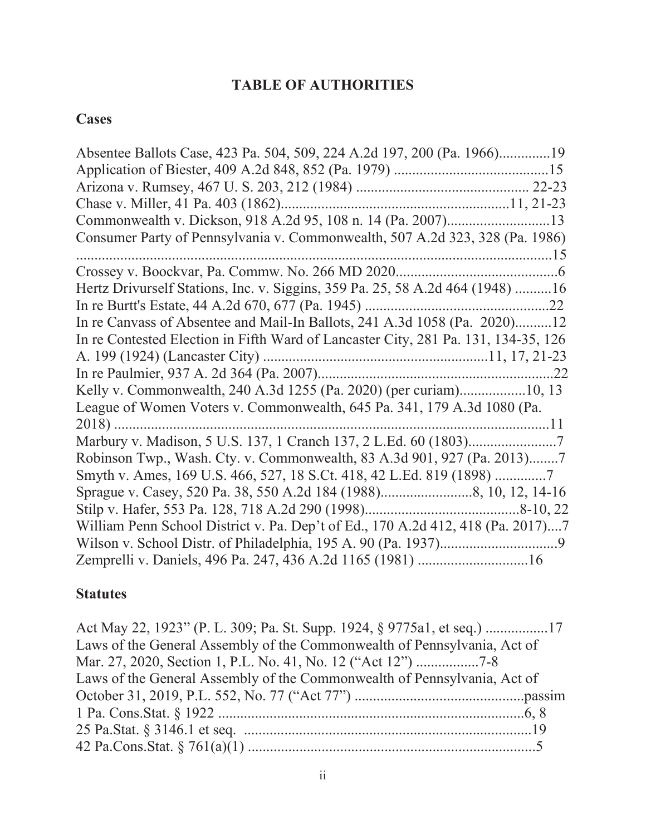# **TABLE OF AUTHORITIES**

# **Cases**

| Absentee Ballots Case, 423 Pa. 504, 509, 224 A.2d 197, 200 (Pa. 1966)19            |
|------------------------------------------------------------------------------------|
|                                                                                    |
|                                                                                    |
|                                                                                    |
|                                                                                    |
| Consumer Party of Pennsylvania v. Commonwealth, 507 A.2d 323, 328 (Pa. 1986)       |
|                                                                                    |
|                                                                                    |
| Hertz Drivurself Stations, Inc. v. Siggins, 359 Pa. 25, 58 A.2d 464 (1948) 16      |
|                                                                                    |
| In re Canvass of Absentee and Mail-In Ballots, 241 A.3d 1058 (Pa. 2020)12          |
| In re Contested Election in Fifth Ward of Lancaster City, 281 Pa. 131, 134-35, 126 |
|                                                                                    |
|                                                                                    |
|                                                                                    |
| League of Women Voters v. Commonwealth, 645 Pa. 341, 179 A.3d 1080 (Pa.            |
| $2018)$                                                                            |
|                                                                                    |
| Robinson Twp., Wash. Cty. v. Commonwealth, 83 A.3d 901, 927 (Pa. 2013)7            |
| Smyth v. Ames, 169 U.S. 466, 527, 18 S.Ct. 418, 42 L.Ed. 819 (1898)                |
|                                                                                    |
|                                                                                    |
| William Penn School District v. Pa. Dep't of Ed., 170 A.2d 412, 418 (Pa. 2017)7    |
|                                                                                    |
| Zemprelli v. Daniels, 496 Pa. 247, 436 A.2d 1165 (1981) 16                         |
|                                                                                    |

# **Statutes**

| Act May 22, 1923" (P. L. 309; Pa. St. Supp. 1924, § 9775a1, et seq.) 17  |  |
|--------------------------------------------------------------------------|--|
| Laws of the General Assembly of the Commonwealth of Pennsylvania, Act of |  |
|                                                                          |  |
| Laws of the General Assembly of the Commonwealth of Pennsylvania, Act of |  |
|                                                                          |  |
|                                                                          |  |
|                                                                          |  |
|                                                                          |  |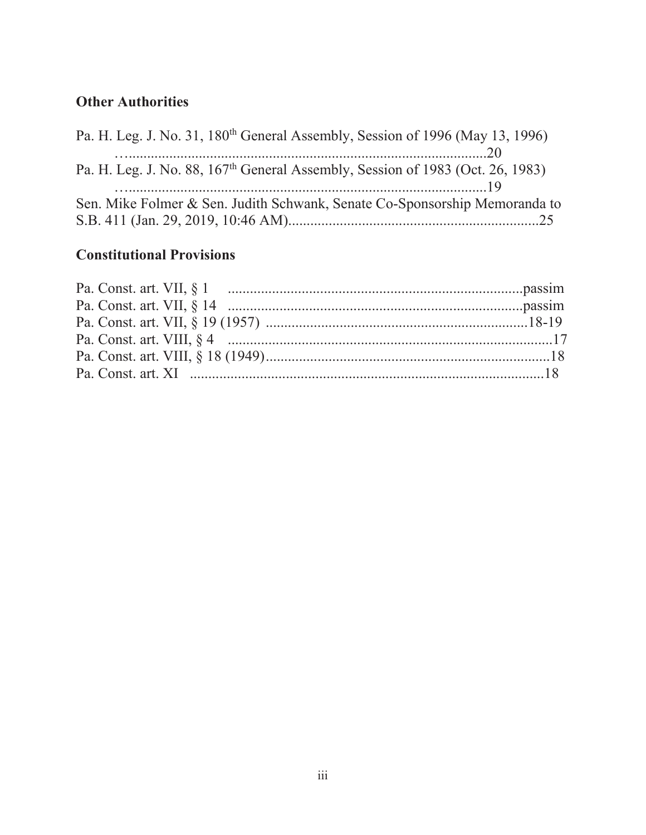# **Other Authorities**

| Pa. H. Leg. J. No. 31, 180 <sup>th</sup> General Assembly, Session of 1996 (May 13, 1996)  |  |
|--------------------------------------------------------------------------------------------|--|
|                                                                                            |  |
| Pa. H. Leg. J. No. 88, 167 <sup>th</sup> General Assembly, Session of 1983 (Oct. 26, 1983) |  |
|                                                                                            |  |
| Sen. Mike Folmer & Sen. Judith Schwank, Senate Co-Sponsorship Memoranda to                 |  |
|                                                                                            |  |
|                                                                                            |  |

# **Constitutional Provisions**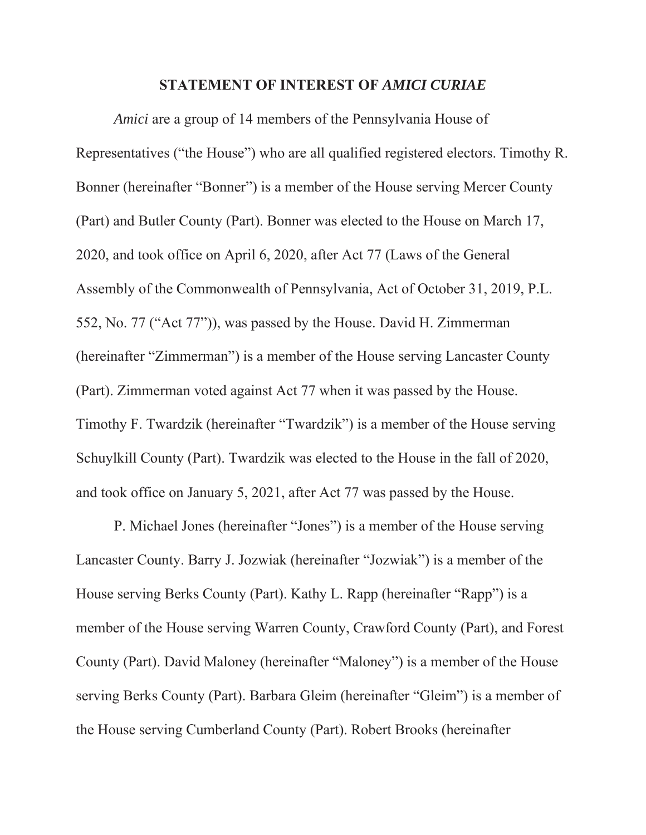#### **STATEMENT OF INTEREST OF** *AMICI CURIAE*

*Amici* are a group of 14 members of the Pennsylvania House of Representatives ("the House") who are all qualified registered electors. Timothy R. Bonner (hereinafter "Bonner") is a member of the House serving Mercer County (Part) and Butler County (Part). Bonner was elected to the House on March 17, 2020, and took office on April 6, 2020, after Act 77 (Laws of the General Assembly of the Commonwealth of Pennsylvania, Act of October 31, 2019, P.L. 552, No. 77 ("Act 77")), was passed by the House. David H. Zimmerman (hereinafter "Zimmerman") is a member of the House serving Lancaster County (Part). Zimmerman voted against Act 77 when it was passed by the House. Timothy F. Twardzik (hereinafter "Twardzik") is a member of the House serving Schuylkill County (Part). Twardzik was elected to the House in the fall of 2020, and took office on January 5, 2021, after Act 77 was passed by the House.

P. Michael Jones (hereinafter "Jones") is a member of the House serving Lancaster County. Barry J. Jozwiak (hereinafter "Jozwiak") is a member of the House serving Berks County (Part). Kathy L. Rapp (hereinafter "Rapp") is a member of the House serving Warren County, Crawford County (Part), and Forest County (Part). David Maloney (hereinafter "Maloney") is a member of the House serving Berks County (Part). Barbara Gleim (hereinafter "Gleim") is a member of the House serving Cumberland County (Part). Robert Brooks (hereinafter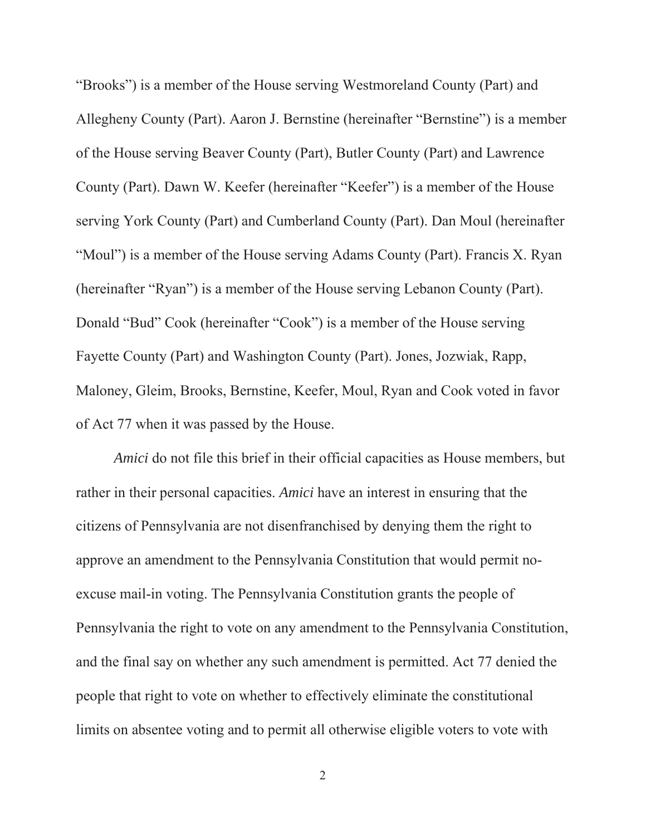"Brooks") is a member of the House serving Westmoreland County (Part) and Allegheny County (Part). Aaron J. Bernstine (hereinafter "Bernstine") is a member of the House serving Beaver County (Part), Butler County (Part) and Lawrence County (Part). Dawn W. Keefer (hereinafter "Keefer") is a member of the House serving York County (Part) and Cumberland County (Part). Dan Moul (hereinafter "Moul") is a member of the House serving Adams County (Part). Francis X. Ryan (hereinafter "Ryan") is a member of the House serving Lebanon County (Part). Donald "Bud" Cook (hereinafter "Cook") is a member of the House serving Fayette County (Part) and Washington County (Part). Jones, Jozwiak, Rapp, Maloney, Gleim, Brooks, Bernstine, Keefer, Moul, Ryan and Cook voted in favor of Act 77 when it was passed by the House.

*Amici* do not file this brief in their official capacities as House members, but rather in their personal capacities. *Amici* have an interest in ensuring that the citizens of Pennsylvania are not disenfranchised by denying them the right to approve an amendment to the Pennsylvania Constitution that would permit noexcuse mail-in voting. The Pennsylvania Constitution grants the people of Pennsylvania the right to vote on any amendment to the Pennsylvania Constitution, and the final say on whether any such amendment is permitted. Act 77 denied the people that right to vote on whether to effectively eliminate the constitutional limits on absentee voting and to permit all otherwise eligible voters to vote with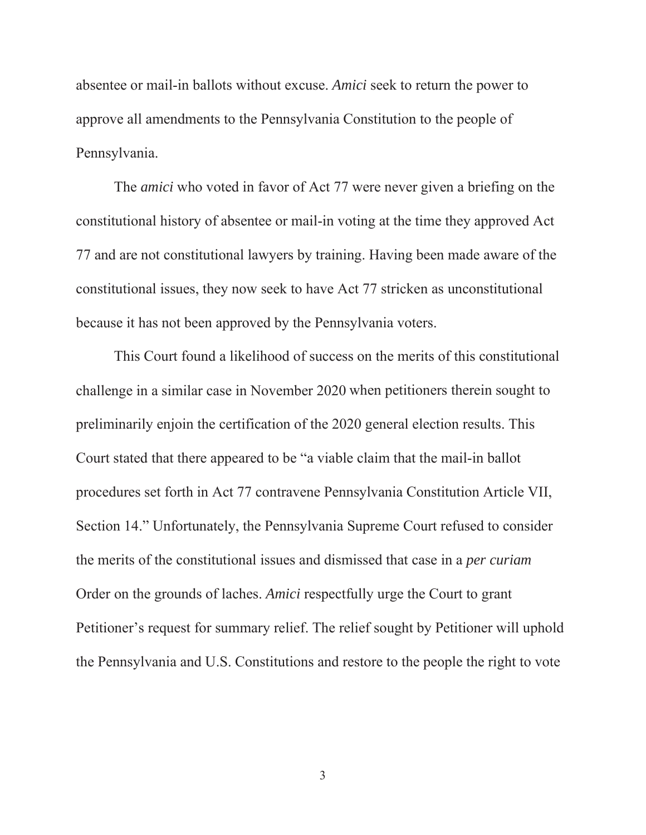absentee or mail-in ballots without excuse. *Amici* seek to return the power to approve all amendments to the Pennsylvania Constitution to the people of Pennsylvania.

The *amici* who voted in favor of Act 77 were never given a briefing on the constitutional history of absentee or mail-in voting at the time they approved Act 77 and are not constitutional lawyers by training. Having been made aware of the constitutional issues, they now seek to have Act 77 stricken as unconstitutional because it has not been approved by the Pennsylvania voters.

This Court found a likelihood of success on the merits of this constitutional challenge in a similar case in November 2020 when petitioners therein sought to preliminarily enjoin the certification of the 2020 general election results. This Court stated that there appeared to be "a viable claim that the mail-in ballot procedures set forth in Act 77 contravene Pennsylvania Constitution Article VII, Section 14." Unfortunately, the Pennsylvania Supreme Court refused to consider the merits of the constitutional issues and dismissed that case in a *per curiam* Order on the grounds of laches. *Amici* respectfully urge the Court to grant Petitioner's request for summary relief. The relief sought by Petitioner will uphold the Pennsylvania and U.S. Constitutions and restore to the people the right to vote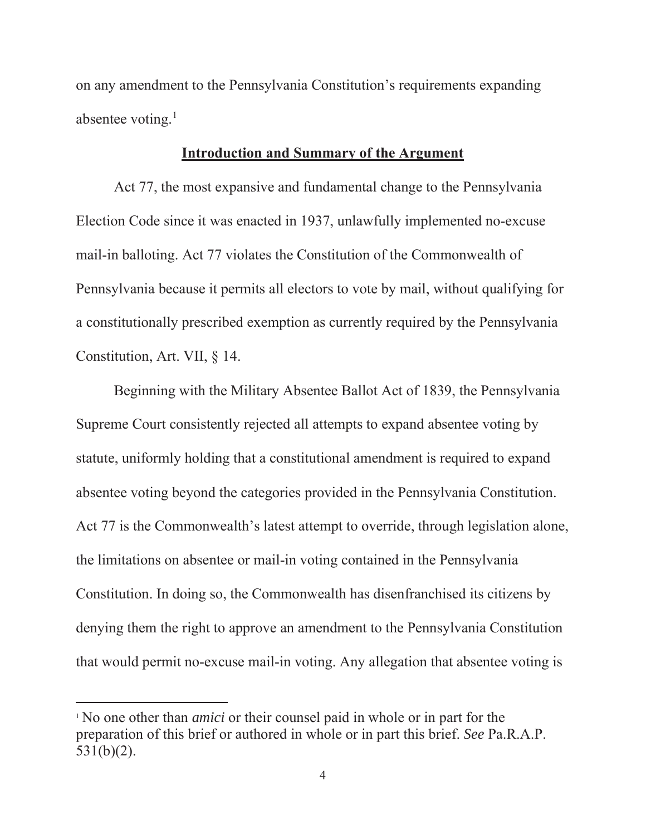on any amendment to the Pennsylvania Constitution's requirements expanding absentee voting. $<sup>1</sup>$ </sup>

#### **Introduction and Summary of the Argument**

Act 77, the most expansive and fundamental change to the Pennsylvania Election Code since it was enacted in 1937, unlawfully implemented no-excuse mail-in balloting. Act 77 violates the Constitution of the Commonwealth of Pennsylvania because it permits all electors to vote by mail, without qualifying for a constitutionally prescribed exemption as currently required by the Pennsylvania Constitution, Art. VII, § 14.

Beginning with the Military Absentee Ballot Act of 1839, the Pennsylvania Supreme Court consistently rejected all attempts to expand absentee voting by statute, uniformly holding that a constitutional amendment is required to expand absentee voting beyond the categories provided in the Pennsylvania Constitution. Act 77 is the Commonwealth's latest attempt to override, through legislation alone, the limitations on absentee or mail-in voting contained in the Pennsylvania Constitution. In doing so, the Commonwealth has disenfranchised its citizens by denying them the right to approve an amendment to the Pennsylvania Constitution that would permit no-excuse mail-in voting. Any allegation that absentee voting is

<sup>1</sup> No one other than *amici* or their counsel paid in whole or in part for the preparation of this brief or authored in whole or in part this brief. *See* Pa.R.A.P. 531(b)(2).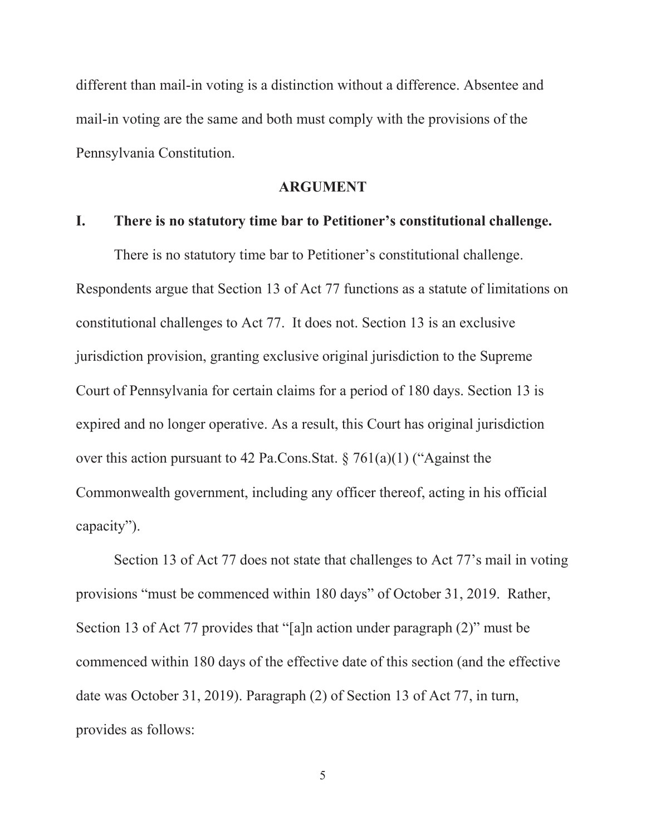different than mail-in voting is a distinction without a difference. Absentee and mail-in voting are the same and both must comply with the provisions of the Pennsylvania Constitution.

#### **ARGUMENT**

#### **I. There is no statutory time bar to Petitioner's constitutional challenge.**

There is no statutory time bar to Petitioner's constitutional challenge. Respondents argue that Section 13 of Act 77 functions as a statute of limitations on constitutional challenges to Act 77. It does not. Section 13 is an exclusive jurisdiction provision, granting exclusive original jurisdiction to the Supreme Court of Pennsylvania for certain claims for a period of 180 days. Section 13 is expired and no longer operative. As a result, this Court has original jurisdiction over this action pursuant to 42 Pa.Cons.Stat. § 761(a)(1) ("Against the Commonwealth government, including any officer thereof, acting in his official capacity").

Section 13 of Act 77 does not state that challenges to Act 77's mail in voting provisions "must be commenced within 180 days" of October 31, 2019. Rather, Section 13 of Act 77 provides that "[a]n action under paragraph (2)" must be commenced within 180 days of the effective date of this section (and the effective date was October 31, 2019). Paragraph (2) of Section 13 of Act 77, in turn, provides as follows: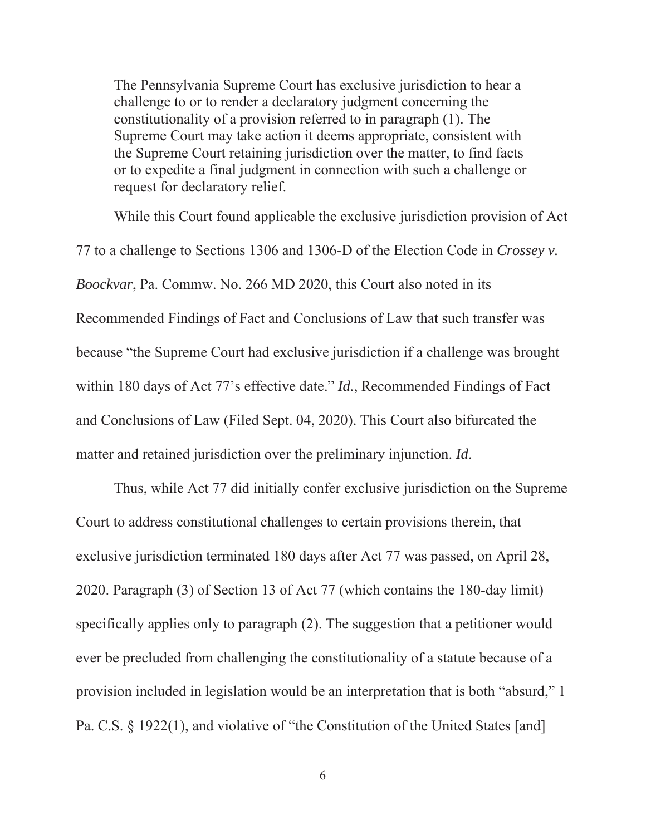The Pennsylvania Supreme Court has exclusive jurisdiction to hear a challenge to or to render a declaratory judgment concerning the constitutionality of a provision referred to in paragraph (1). The Supreme Court may take action it deems appropriate, consistent with the Supreme Court retaining jurisdiction over the matter, to find facts or to expedite a final judgment in connection with such a challenge or request for declaratory relief.

While this Court found applicable the exclusive jurisdiction provision of Act 77 to a challenge to Sections 1306 and 1306-D of the Election Code in *Crossey v. Boockvar*, Pa. Commw. No. 266 MD 2020, this Court also noted in its Recommended Findings of Fact and Conclusions of Law that such transfer was because "the Supreme Court had exclusive jurisdiction if a challenge was brought within 180 days of Act 77's effective date." *Id.*, Recommended Findings of Fact and Conclusions of Law (Filed Sept. 04, 2020). This Court also bifurcated the matter and retained jurisdiction over the preliminary injunction. *Id*.

Thus, while Act 77 did initially confer exclusive jurisdiction on the Supreme Court to address constitutional challenges to certain provisions therein, that exclusive jurisdiction terminated 180 days after Act 77 was passed, on April 28, 2020. Paragraph (3) of Section 13 of Act 77 (which contains the 180-day limit) specifically applies only to paragraph (2). The suggestion that a petitioner would ever be precluded from challenging the constitutionality of a statute because of a provision included in legislation would be an interpretation that is both "absurd," 1 Pa. C.S. § 1922(1), and violative of "the Constitution of the United States [and]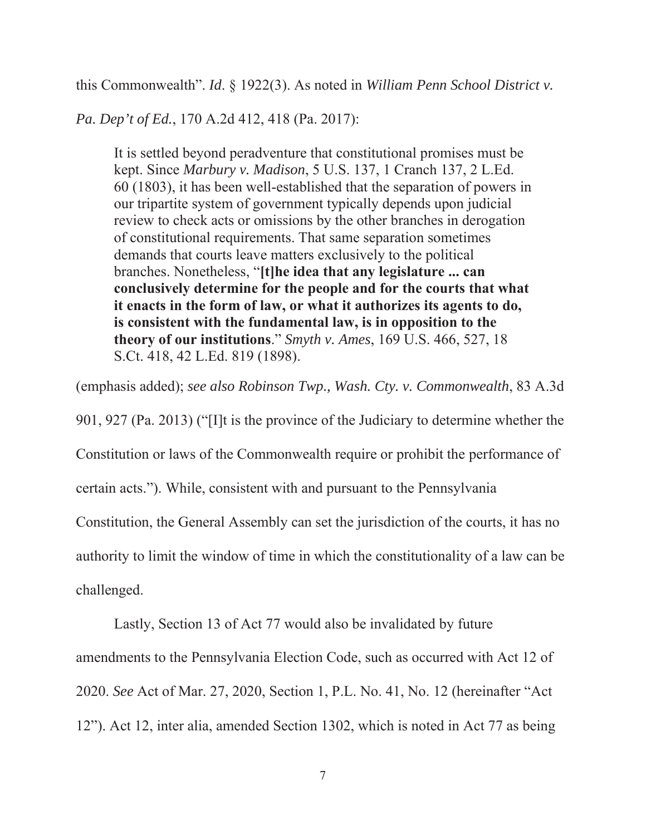this Commonwealth". *Id*. § 1922(3). As noted in *William Penn School District v.* 

*Pa. Dep't of Ed.*, 170 A.2d 412, 418 (Pa. 2017):

It is settled beyond peradventure that constitutional promises must be kept. Since *Marbury v. Madison*, 5 U.S. 137, 1 Cranch 137, 2 L.Ed. 60 (1803), it has been well-established that the separation of powers in our tripartite system of government typically depends upon judicial review to check acts or omissions by the other branches in derogation of constitutional requirements. That same separation sometimes demands that courts leave matters exclusively to the political branches. Nonetheless, "**[t]he idea that any legislature ... can conclusively determine for the people and for the courts that what it enacts in the form of law, or what it authorizes its agents to do, is consistent with the fundamental law, is in opposition to the theory of our institutions**." *Smyth v. Ames*, 169 U.S. 466, 527, 18 S.Ct. 418, 42 L.Ed. 819 (1898).

(emphasis added); *see also Robinson Twp., Wash. Cty. v. Commonwealth*, 83 A.3d

901, 927 (Pa. 2013) ("[I]t is the province of the Judiciary to determine whether the

Constitution or laws of the Commonwealth require or prohibit the performance of

certain acts."). While, consistent with and pursuant to the Pennsylvania

Constitution, the General Assembly can set the jurisdiction of the courts, it has no

authority to limit the window of time in which the constitutionality of a law can be challenged.

Lastly, Section 13 of Act 77 would also be invalidated by future

amendments to the Pennsylvania Election Code, such as occurred with Act 12 of

2020. *See* Act of Mar. 27, 2020, Section 1, P.L. No. 41, No. 12 (hereinafter "Act

12"). Act 12, inter alia, amended Section 1302, which is noted in Act 77 as being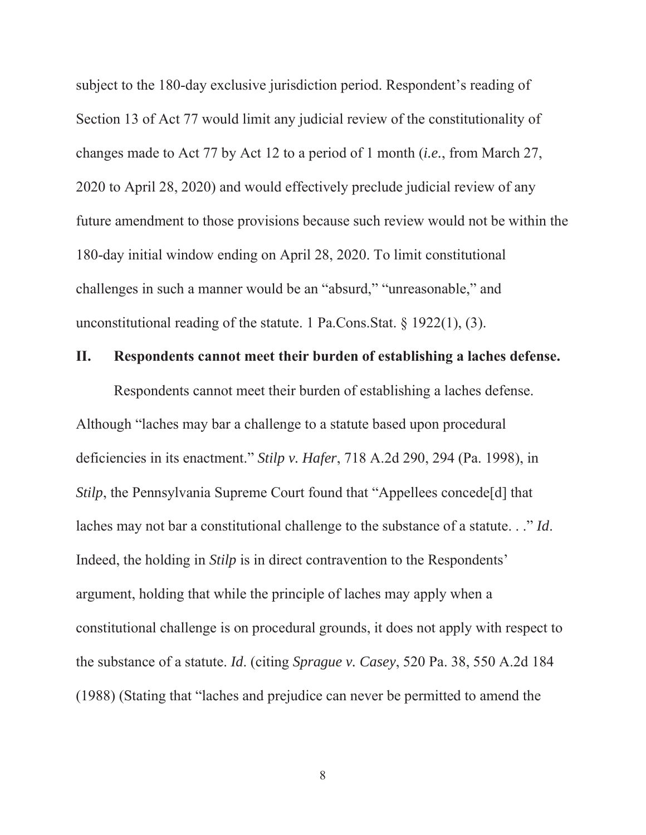subject to the 180-day exclusive jurisdiction period. Respondent's reading of Section 13 of Act 77 would limit any judicial review of the constitutionality of changes made to Act 77 by Act 12 to a period of 1 month (*i.e.*, from March 27, 2020 to April 28, 2020) and would effectively preclude judicial review of any future amendment to those provisions because such review would not be within the 180-day initial window ending on April 28, 2020. To limit constitutional challenges in such a manner would be an "absurd," "unreasonable," and unconstitutional reading of the statute. 1 Pa.Cons.Stat. § 1922(1), (3).

### **II. Respondents cannot meet their burden of establishing a laches defense.**

Respondents cannot meet their burden of establishing a laches defense. Although "laches may bar a challenge to a statute based upon procedural deficiencies in its enactment." *Stilp v. Hafer*, 718 A.2d 290, 294 (Pa. 1998), in *Stilp*, the Pennsylvania Supreme Court found that "Appellees concede<sup>[d]</sup> that laches may not bar a constitutional challenge to the substance of a statute. . ." *Id*. Indeed, the holding in *Stilp* is in direct contravention to the Respondents' argument, holding that while the principle of laches may apply when a constitutional challenge is on procedural grounds, it does not apply with respect to the substance of a statute. *Id*. (citing *Sprague v. Casey*, 520 Pa. 38, 550 A.2d 184 (1988) (Stating that "laches and prejudice can never be permitted to amend the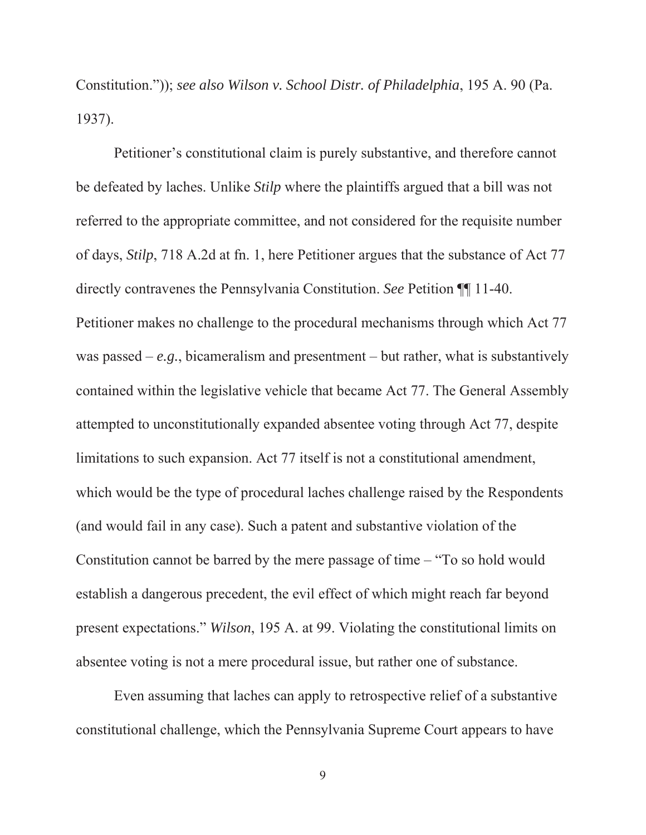Constitution.")); *see also Wilson v. School Distr. of Philadelphia*, 195 A. 90 (Pa. 1937).

Petitioner's constitutional claim is purely substantive, and therefore cannot be defeated by laches. Unlike *Stilp* where the plaintiffs argued that a bill was not referred to the appropriate committee, and not considered for the requisite number of days, *Stilp*, 718 A.2d at fn. 1, here Petitioner argues that the substance of Act 77 directly contravenes the Pennsylvania Constitution. *See* Petition ¶¶ 11-40. Petitioner makes no challenge to the procedural mechanisms through which Act 77 was passed –  $e.g.,$  bicameralism and presentment – but rather, what is substantively contained within the legislative vehicle that became Act 77. The General Assembly attempted to unconstitutionally expanded absentee voting through Act 77, despite limitations to such expansion. Act 77 itself is not a constitutional amendment, which would be the type of procedural laches challenge raised by the Respondents (and would fail in any case). Such a patent and substantive violation of the Constitution cannot be barred by the mere passage of time – "To so hold would establish a dangerous precedent, the evil effect of which might reach far beyond present expectations." *Wilson*, 195 A. at 99. Violating the constitutional limits on absentee voting is not a mere procedural issue, but rather one of substance.

Even assuming that laches can apply to retrospective relief of a substantive constitutional challenge, which the Pennsylvania Supreme Court appears to have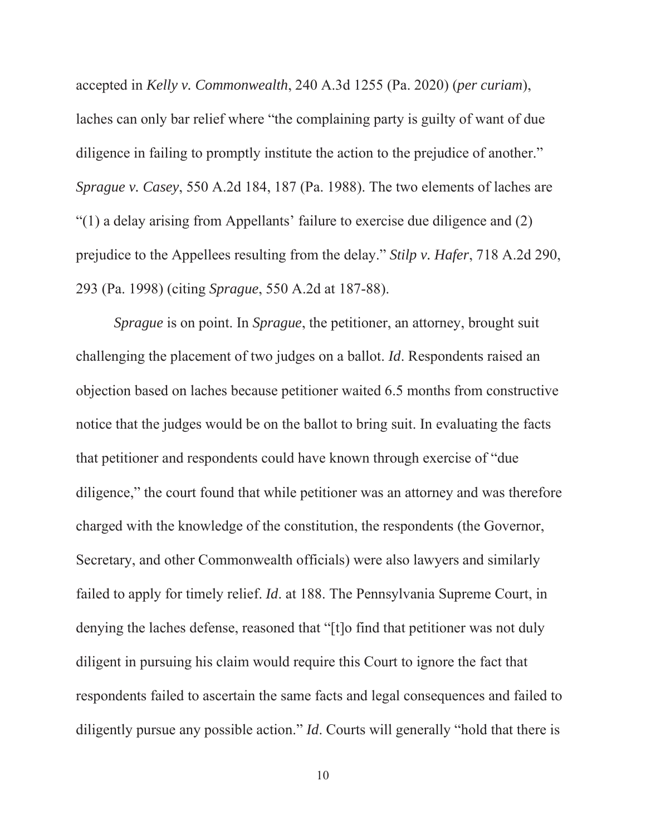accepted in *Kelly v. Commonwealth*, 240 A.3d 1255 (Pa. 2020) (*per curiam*), laches can only bar relief where "the complaining party is guilty of want of due diligence in failing to promptly institute the action to the prejudice of another." *Sprague v. Casey*, 550 A.2d 184, 187 (Pa. 1988). The two elements of laches are "(1) a delay arising from Appellants' failure to exercise due diligence and (2) prejudice to the Appellees resulting from the delay." *Stilp v. Hafer*, 718 A.2d 290, 293 (Pa. 1998) (citing *Sprague*, 550 A.2d at 187-88).

*Sprague* is on point. In *Sprague*, the petitioner, an attorney, brought suit challenging the placement of two judges on a ballot. *Id*. Respondents raised an objection based on laches because petitioner waited 6.5 months from constructive notice that the judges would be on the ballot to bring suit. In evaluating the facts that petitioner and respondents could have known through exercise of "due diligence," the court found that while petitioner was an attorney and was therefore charged with the knowledge of the constitution, the respondents (the Governor, Secretary, and other Commonwealth officials) were also lawyers and similarly failed to apply for timely relief. *Id*. at 188. The Pennsylvania Supreme Court, in denying the laches defense, reasoned that "[t]o find that petitioner was not duly diligent in pursuing his claim would require this Court to ignore the fact that respondents failed to ascertain the same facts and legal consequences and failed to diligently pursue any possible action." *Id*. Courts will generally "hold that there is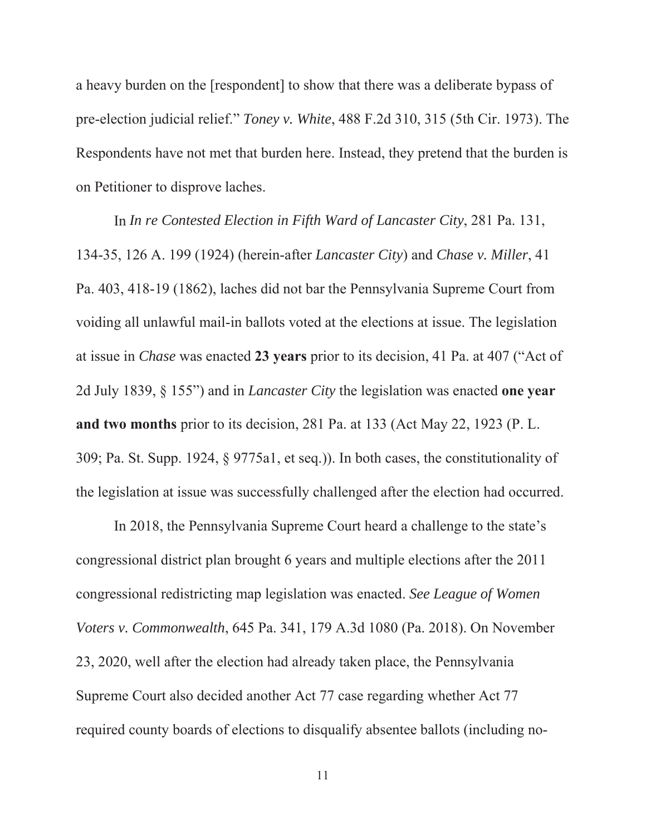a heavy burden on the [respondent] to show that there was a deliberate bypass of pre-election judicial relief." *Toney v. White*, 488 F.2d 310, 315 (5th Cir. 1973). The Respondents have not met that burden here. Instead, they pretend that the burden is on Petitioner to disprove laches.

In *In re Contested Election in Fifth Ward of Lancaster City*, 281 Pa. 131, 134-35, 126 A. 199 (1924) (herein-after *Lancaster City*) and *Chase v. Miller*, 41 Pa. 403, 418-19 (1862), laches did not bar the Pennsylvania Supreme Court from voiding all unlawful mail-in ballots voted at the elections at issue. The legislation at issue in *Chase* was enacted **23 years** prior to its decision, 41 Pa. at 407 ("Act of 2d July 1839, § 155") and in *Lancaster City* the legislation was enacted **one year and two months** prior to its decision, 281 Pa. at 133 (Act May 22, 1923 (P. L. 309; Pa. St. Supp. 1924, § 9775a1, et seq.)). In both cases, the constitutionality of the legislation at issue was successfully challenged after the election had occurred.

In 2018, the Pennsylvania Supreme Court heard a challenge to the state's congressional district plan brought 6 years and multiple elections after the 2011 congressional redistricting map legislation was enacted. *See League of Women Voters v. Commonwealth*, 645 Pa. 341, 179 A.3d 1080 (Pa. 2018). On November 23, 2020, well after the election had already taken place, the Pennsylvania Supreme Court also decided another Act 77 case regarding whether Act 77 required county boards of elections to disqualify absentee ballots (including no-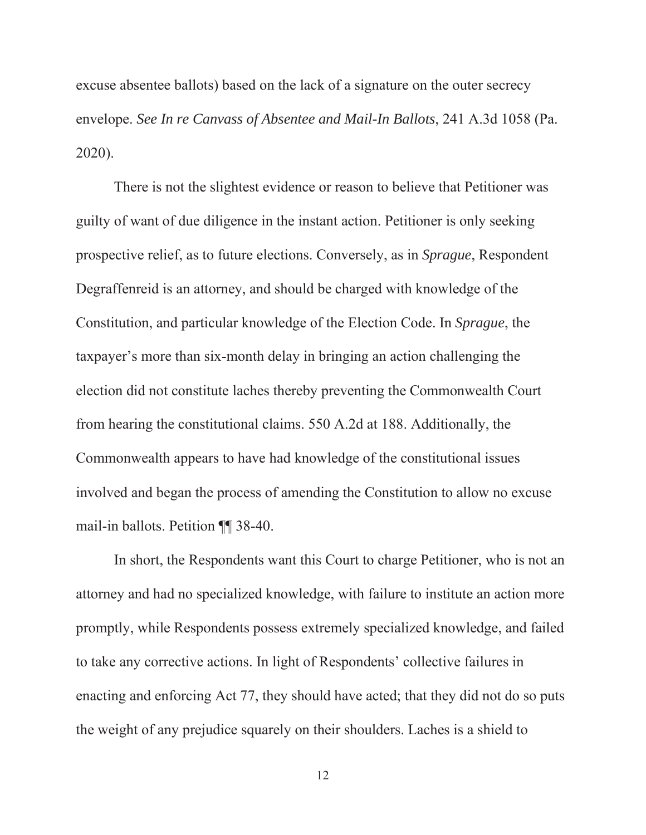excuse absentee ballots) based on the lack of a signature on the outer secrecy envelope. *See In re Canvass of Absentee and Mail-In Ballots*, 241 A.3d 1058 (Pa. 2020).

There is not the slightest evidence or reason to believe that Petitioner was guilty of want of due diligence in the instant action. Petitioner is only seeking prospective relief, as to future elections. Conversely, as in *Sprague*, Respondent Degraffenreid is an attorney, and should be charged with knowledge of the Constitution, and particular knowledge of the Election Code. In *Sprague*, the taxpayer's more than six-month delay in bringing an action challenging the election did not constitute laches thereby preventing the Commonwealth Court from hearing the constitutional claims. 550 A.2d at 188. Additionally, the Commonwealth appears to have had knowledge of the constitutional issues involved and began the process of amending the Constitution to allow no excuse mail-in ballots. Petition ¶¶ 38-40.

In short, the Respondents want this Court to charge Petitioner, who is not an attorney and had no specialized knowledge, with failure to institute an action more promptly, while Respondents possess extremely specialized knowledge, and failed to take any corrective actions. In light of Respondents' collective failures in enacting and enforcing Act 77, they should have acted; that they did not do so puts the weight of any prejudice squarely on their shoulders. Laches is a shield to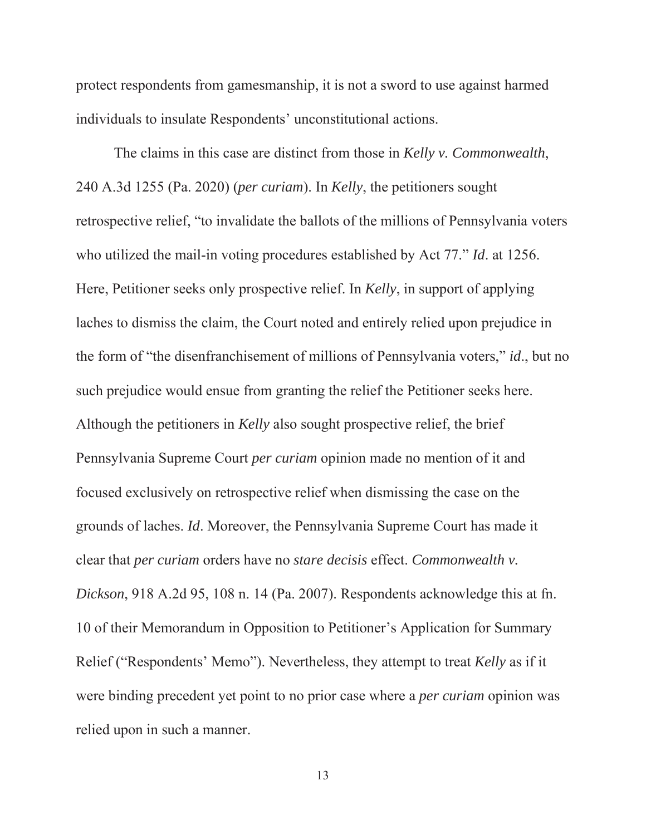protect respondents from gamesmanship, it is not a sword to use against harmed individuals to insulate Respondents' unconstitutional actions.

The claims in this case are distinct from those in *Kelly v. Commonwealth*, 240 A.3d 1255 (Pa. 2020) (*per curiam*). In *Kelly*, the petitioners sought retrospective relief, "to invalidate the ballots of the millions of Pennsylvania voters who utilized the mail-in voting procedures established by Act 77." *Id*. at 1256. Here, Petitioner seeks only prospective relief. In *Kelly*, in support of applying laches to dismiss the claim, the Court noted and entirely relied upon prejudice in the form of "the disenfranchisement of millions of Pennsylvania voters," *id*., but no such prejudice would ensue from granting the relief the Petitioner seeks here. Although the petitioners in *Kelly* also sought prospective relief, the brief Pennsylvania Supreme Court *per curiam* opinion made no mention of it and focused exclusively on retrospective relief when dismissing the case on the grounds of laches. *Id*. Moreover, the Pennsylvania Supreme Court has made it clear that *per curiam* orders have no *stare decisis* effect. *Commonwealth v. Dickson*, 918 A.2d 95, 108 n. 14 (Pa. 2007). Respondents acknowledge this at fn. 10 of their Memorandum in Opposition to Petitioner's Application for Summary Relief ("Respondents' Memo"). Nevertheless, they attempt to treat *Kelly* as if it were binding precedent yet point to no prior case where a *per curiam* opinion was relied upon in such a manner.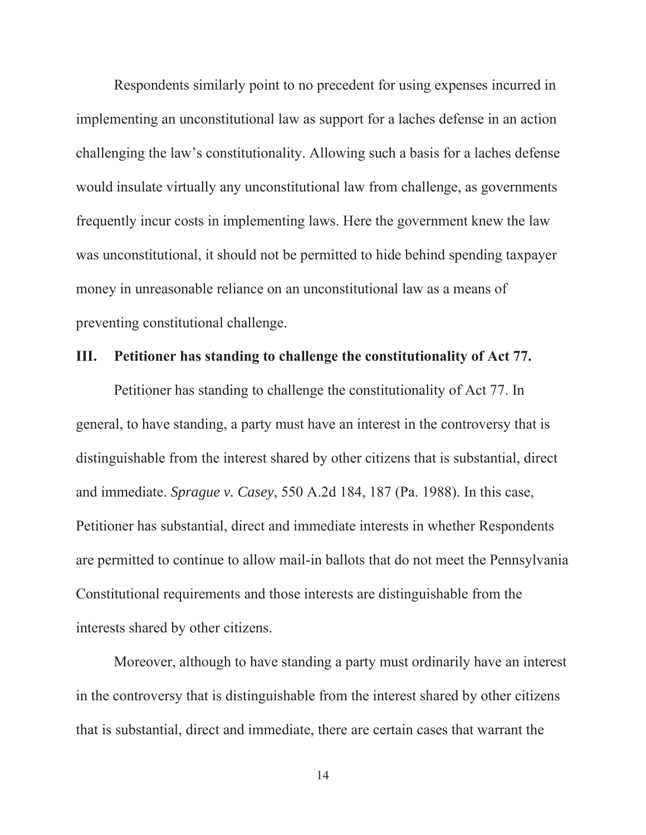Respondents similarly point to no precedent for using expenses incurred in implementing an unconstitutional law as support for a laches defense in an action challenging the law's constitutionality. Allowing such a basis for a laches defense would insulate virtually any unconstitutional law from challenge, as governments frequently incur costs in implementing laws. Here the government knew the law was unconstitutional, it should not be permitted to hide behind spending taxpayer money in unreasonable reliance on an unconstitutional law as a means of preventing constitutional challenge.

### **III. Petitioner has standing to challenge the constitutionality of Act 77.**

Petitioner has standing to challenge the constitutionality of Act 77. In general, to have standing, a party must have an interest in the controversy that is distinguishable from the interest shared by other citizens that is substantial, direct and immediate. *Sprague v. Casey*, 550 A.2d 184, 187 (Pa. 1988). In this case, Petitioner has substantial, direct and immediate interests in whether Respondents are permitted to continue to allow mail-in ballots that do not meet the Pennsylvania Constitutional requirements and those interests are distinguishable from the interests shared by other citizens.

Moreover, although to have standing a party must ordinarily have an interest in the controversy that is distinguishable from the interest shared by other citizens that is substantial, direct and immediate, there are certain cases that warrant the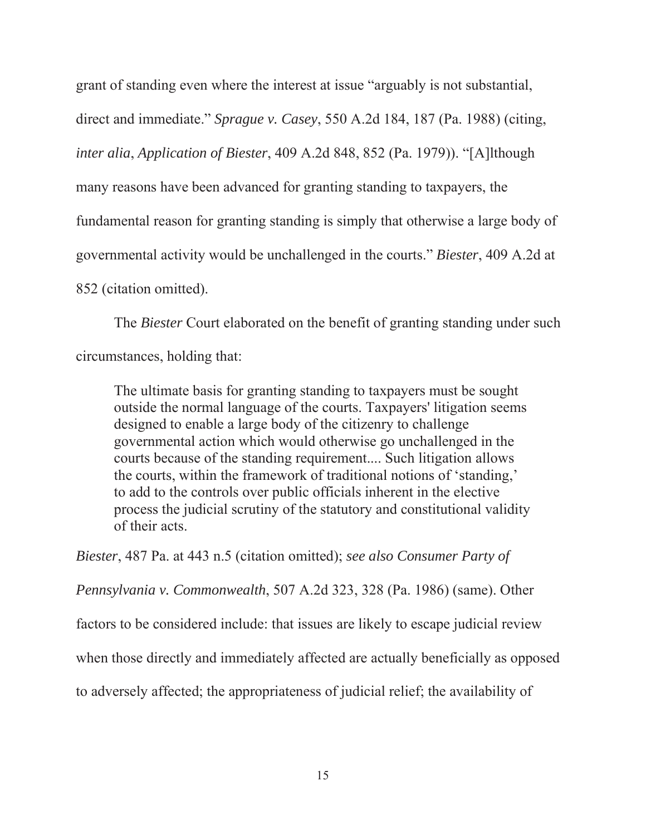grant of standing even where the interest at issue "arguably is not substantial,

direct and immediate." *Sprague v. Casey*, 550 A.2d 184, 187 (Pa. 1988) (citing,

*inter alia*, *Application of Biester*, 409 A.2d 848, 852 (Pa. 1979)). "[A]lthough

many reasons have been advanced for granting standing to taxpayers, the

fundamental reason for granting standing is simply that otherwise a large body of

governmental activity would be unchallenged in the courts." *Biester*, 409 A.2d at

852 (citation omitted).

The *Biester* Court elaborated on the benefit of granting standing under such circumstances, holding that:

The ultimate basis for granting standing to taxpayers must be sought outside the normal language of the courts. Taxpayers' litigation seems designed to enable a large body of the citizenry to challenge governmental action which would otherwise go unchallenged in the courts because of the standing requirement.... Such litigation allows the courts, within the framework of traditional notions of 'standing,' to add to the controls over public officials inherent in the elective process the judicial scrutiny of the statutory and constitutional validity of their acts.

*Biester*, 487 Pa. at 443 n.5 (citation omitted); *see also Consumer Party of* 

*Pennsylvania v. Commonwealth*, 507 A.2d 323, 328 (Pa. 1986) (same). Other

factors to be considered include: that issues are likely to escape judicial review

when those directly and immediately affected are actually beneficially as opposed

to adversely affected; the appropriateness of judicial relief; the availability of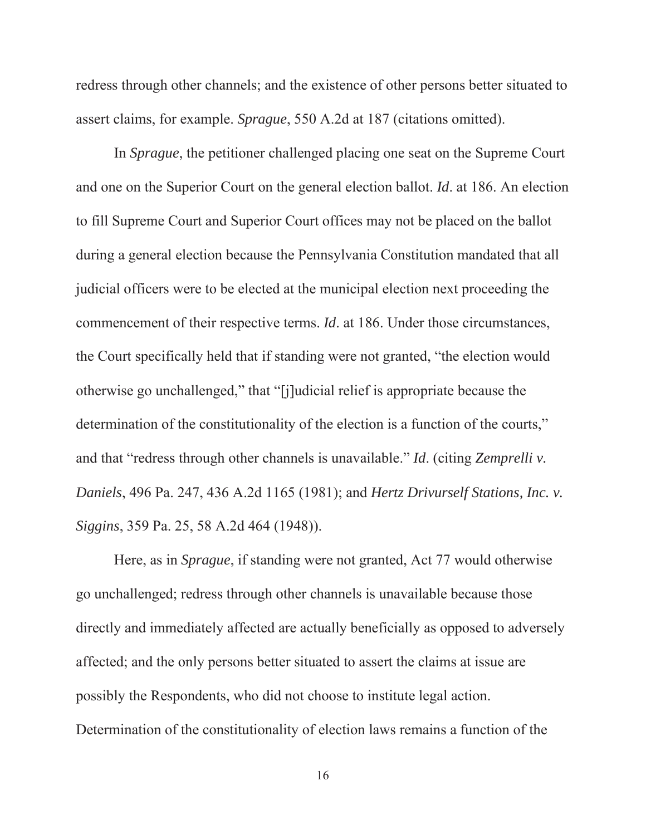redress through other channels; and the existence of other persons better situated to assert claims, for example. *Sprague*, 550 A.2d at 187 (citations omitted).

In *Sprague*, the petitioner challenged placing one seat on the Supreme Court and one on the Superior Court on the general election ballot. *Id*. at 186. An election to fill Supreme Court and Superior Court offices may not be placed on the ballot during a general election because the Pennsylvania Constitution mandated that all judicial officers were to be elected at the municipal election next proceeding the commencement of their respective terms. *Id*. at 186. Under those circumstances, the Court specifically held that if standing were not granted, "the election would otherwise go unchallenged," that "[j]udicial relief is appropriate because the determination of the constitutionality of the election is a function of the courts," and that "redress through other channels is unavailable." *Id*. (citing *Zemprelli v. Daniels*, 496 Pa. 247, 436 A.2d 1165 (1981); and *Hertz Drivurself Stations, Inc. v. Siggins*, 359 Pa. 25, 58 A.2d 464 (1948)).

Here, as in *Sprague*, if standing were not granted, Act 77 would otherwise go unchallenged; redress through other channels is unavailable because those directly and immediately affected are actually beneficially as opposed to adversely affected; and the only persons better situated to assert the claims at issue are possibly the Respondents, who did not choose to institute legal action. Determination of the constitutionality of election laws remains a function of the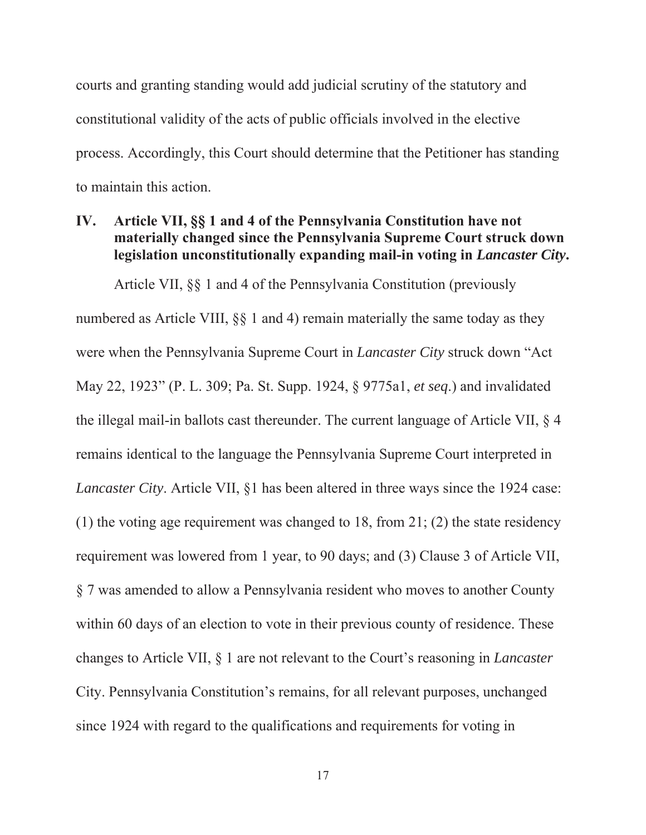courts and granting standing would add judicial scrutiny of the statutory and constitutional validity of the acts of public officials involved in the elective process. Accordingly, this Court should determine that the Petitioner has standing to maintain this action.

### **IV. Article VII, §§ 1 and 4 of the Pennsylvania Constitution have not materially changed since the Pennsylvania Supreme Court struck down legislation unconstitutionally expanding mail-in voting in** *Lancaster City***.**

Article VII, §§ 1 and 4 of the Pennsylvania Constitution (previously numbered as Article VIII, §§ 1 and 4) remain materially the same today as they were when the Pennsylvania Supreme Court in *Lancaster City* struck down "Act May 22, 1923" (P. L. 309; Pa. St. Supp. 1924, § 9775a1, *et seq*.) and invalidated the illegal mail-in ballots cast thereunder. The current language of Article VII, § 4 remains identical to the language the Pennsylvania Supreme Court interpreted in *Lancaster City*. Article VII, §1 has been altered in three ways since the 1924 case: (1) the voting age requirement was changed to 18, from 21; (2) the state residency requirement was lowered from 1 year, to 90 days; and (3) Clause 3 of Article VII, § 7 was amended to allow a Pennsylvania resident who moves to another County within 60 days of an election to vote in their previous county of residence. These changes to Article VII, § 1 are not relevant to the Court's reasoning in *Lancaster*  City. Pennsylvania Constitution's remains, for all relevant purposes, unchanged since 1924 with regard to the qualifications and requirements for voting in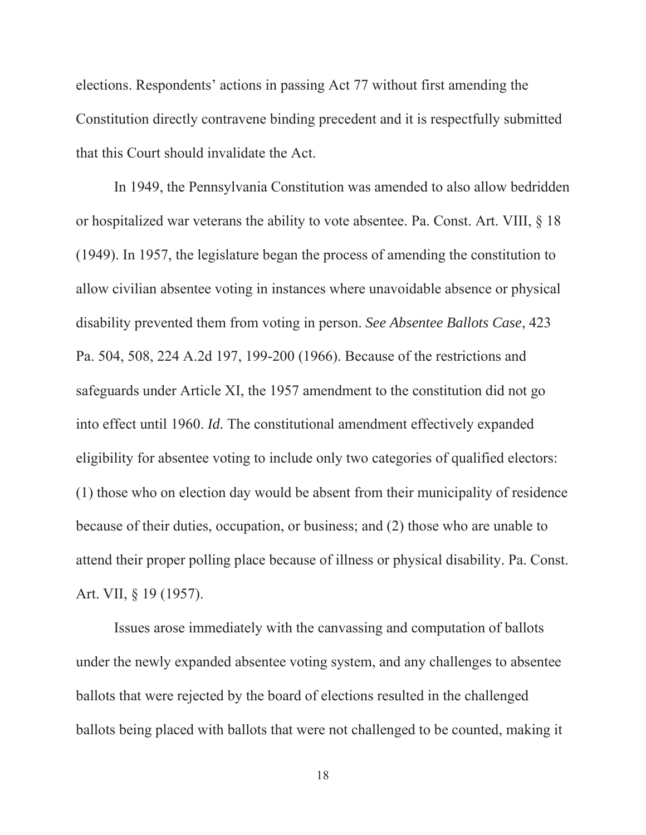elections. Respondents' actions in passing Act 77 without first amending the Constitution directly contravene binding precedent and it is respectfully submitted that this Court should invalidate the Act.

In 1949, the Pennsylvania Constitution was amended to also allow bedridden or hospitalized war veterans the ability to vote absentee. Pa. Const. Art. VIII, § 18 (1949). In 1957, the legislature began the process of amending the constitution to allow civilian absentee voting in instances where unavoidable absence or physical disability prevented them from voting in person. *See Absentee Ballots Case*, 423 Pa. 504, 508, 224 A.2d 197, 199-200 (1966). Because of the restrictions and safeguards under Article XI, the 1957 amendment to the constitution did not go into effect until 1960. *Id.* The constitutional amendment effectively expanded eligibility for absentee voting to include only two categories of qualified electors: (1) those who on election day would be absent from their municipality of residence because of their duties, occupation, or business; and (2) those who are unable to attend their proper polling place because of illness or physical disability. Pa. Const. Art. VII, § 19 (1957).

Issues arose immediately with the canvassing and computation of ballots under the newly expanded absentee voting system, and any challenges to absentee ballots that were rejected by the board of elections resulted in the challenged ballots being placed with ballots that were not challenged to be counted, making it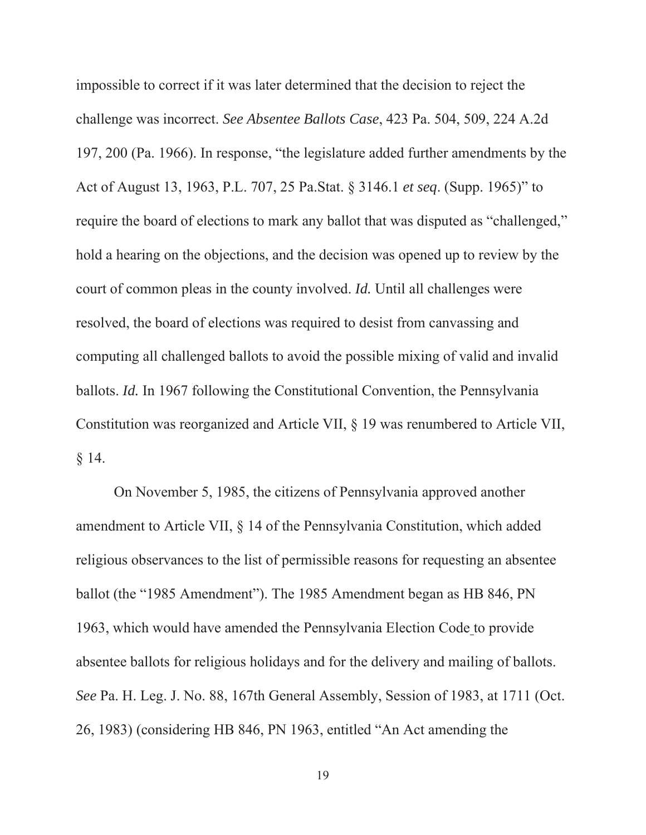impossible to correct if it was later determined that the decision to reject the challenge was incorrect. *See Absentee Ballots Case*, 423 Pa. 504, 509, 224 A.2d 197, 200 (Pa. 1966). In response, "the legislature added further amendments by the Act of August 13, 1963, P.L. 707, 25 Pa.Stat. § 3146.1 *et seq*. (Supp. 1965)" to require the board of elections to mark any ballot that was disputed as "challenged," hold a hearing on the objections, and the decision was opened up to review by the court of common pleas in the county involved. *Id.* Until all challenges were resolved, the board of elections was required to desist from canvassing and computing all challenged ballots to avoid the possible mixing of valid and invalid ballots. *Id.* In 1967 following the Constitutional Convention, the Pennsylvania Constitution was reorganized and Article VII, § 19 was renumbered to Article VII, § 14.

On November 5, 1985, the citizens of Pennsylvania approved another amendment to Article VII, § 14 of the Pennsylvania Constitution, which added religious observances to the list of permissible reasons for requesting an absentee ballot (the "1985 Amendment"). The 1985 Amendment began as HB 846, PN 1963, which would have amended the Pennsylvania Election Code to provide absentee ballots for religious holidays and for the delivery and mailing of ballots. *See* Pa. H. Leg. J. No. 88, 167th General Assembly, Session of 1983, at 1711 (Oct. 26, 1983) (considering HB 846, PN 1963, entitled "An Act amending the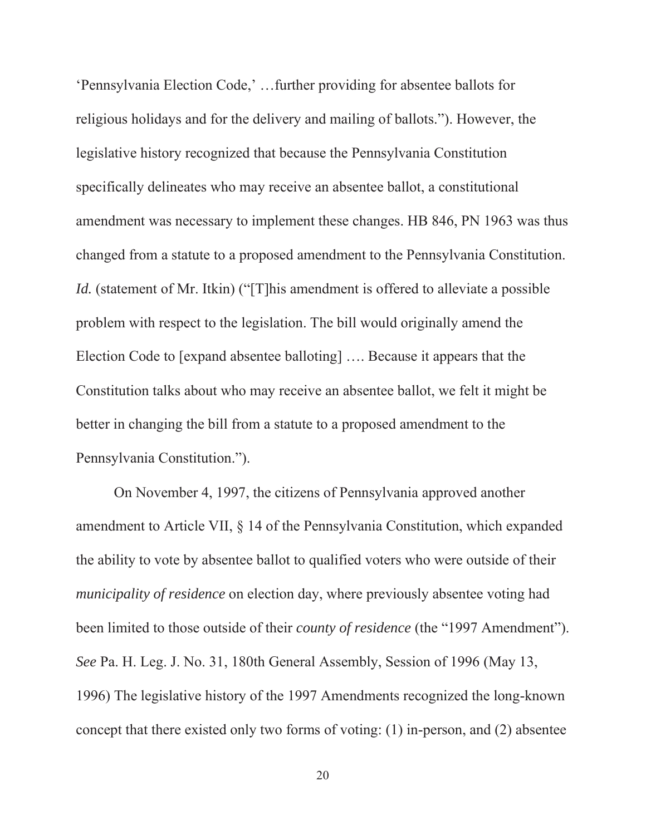'Pennsylvania Election Code,' …further providing for absentee ballots for religious holidays and for the delivery and mailing of ballots."). However, the legislative history recognized that because the Pennsylvania Constitution specifically delineates who may receive an absentee ballot, a constitutional amendment was necessary to implement these changes. HB 846, PN 1963 was thus changed from a statute to a proposed amendment to the Pennsylvania Constitution. *Id.* (statement of Mr. Itkin) ("[T]his amendment is offered to alleviate a possible problem with respect to the legislation. The bill would originally amend the Election Code to [expand absentee balloting] …. Because it appears that the Constitution talks about who may receive an absentee ballot, we felt it might be better in changing the bill from a statute to a proposed amendment to the Pennsylvania Constitution.").

On November 4, 1997, the citizens of Pennsylvania approved another amendment to Article VII, § 14 of the Pennsylvania Constitution, which expanded the ability to vote by absentee ballot to qualified voters who were outside of their *municipality of residence* on election day, where previously absentee voting had been limited to those outside of their *county of residence* (the "1997 Amendment"). *See* Pa. H. Leg. J. No. 31, 180th General Assembly, Session of 1996 (May 13, 1996) The legislative history of the 1997 Amendments recognized the long-known concept that there existed only two forms of voting: (1) in-person, and (2) absentee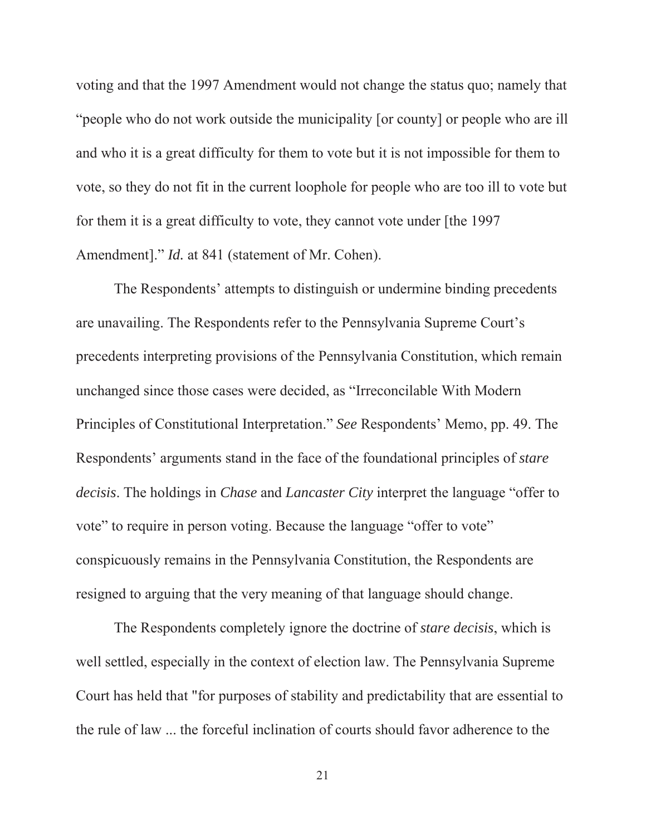voting and that the 1997 Amendment would not change the status quo; namely that "people who do not work outside the municipality [or county] or people who are ill and who it is a great difficulty for them to vote but it is not impossible for them to vote, so they do not fit in the current loophole for people who are too ill to vote but for them it is a great difficulty to vote, they cannot vote under [the 1997 Amendment]." *Id.* at 841 (statement of Mr. Cohen).

The Respondents' attempts to distinguish or undermine binding precedents are unavailing. The Respondents refer to the Pennsylvania Supreme Court's precedents interpreting provisions of the Pennsylvania Constitution, which remain unchanged since those cases were decided, as "Irreconcilable With Modern Principles of Constitutional Interpretation." *See* Respondents' Memo, pp. 49. The Respondents' arguments stand in the face of the foundational principles of *stare decisis*. The holdings in *Chase* and *Lancaster City* interpret the language "offer to vote" to require in person voting. Because the language "offer to vote" conspicuously remains in the Pennsylvania Constitution, the Respondents are resigned to arguing that the very meaning of that language should change.

The Respondents completely ignore the doctrine of *stare decisis*, which is well settled, especially in the context of election law. The Pennsylvania Supreme Court has held that "for purposes of stability and predictability that are essential to the rule of law ... the forceful inclination of courts should favor adherence to the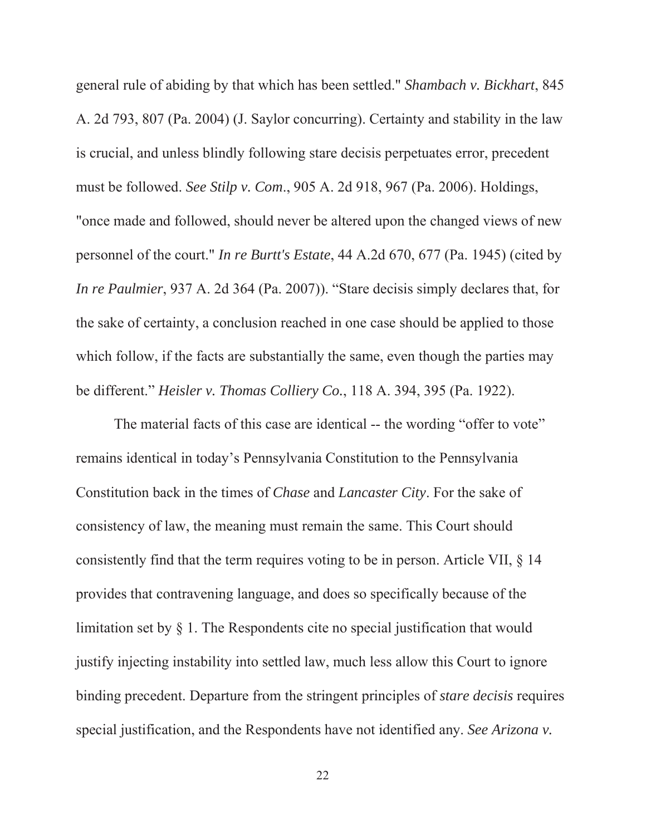general rule of abiding by that which has been settled." *Shambach v. Bickhart*, 845 A. 2d 793, 807 (Pa. 2004) (J. Saylor concurring). Certainty and stability in the law is crucial, and unless blindly following stare decisis perpetuates error, precedent must be followed. *See Stilp v. Com*., 905 A. 2d 918, 967 (Pa. 2006). Holdings, "once made and followed, should never be altered upon the changed views of new personnel of the court." *In re Burtt's Estate*, 44 A.2d 670, 677 (Pa. 1945) (cited by *In re Paulmier*, 937 A. 2d 364 (Pa. 2007)). "Stare decisis simply declares that, for the sake of certainty, a conclusion reached in one case should be applied to those which follow, if the facts are substantially the same, even though the parties may be different." *Heisler v. Thomas Colliery Co.*, 118 A. 394, 395 (Pa. 1922).

The material facts of this case are identical -- the wording "offer to vote" remains identical in today's Pennsylvania Constitution to the Pennsylvania Constitution back in the times of *Chase* and *Lancaster City*. For the sake of consistency of law, the meaning must remain the same. This Court should consistently find that the term requires voting to be in person. Article VII, § 14 provides that contravening language, and does so specifically because of the limitation set by § 1. The Respondents cite no special justification that would justify injecting instability into settled law, much less allow this Court to ignore binding precedent. Departure from the stringent principles of *stare decisis* requires special justification, and the Respondents have not identified any. *See Arizona v.*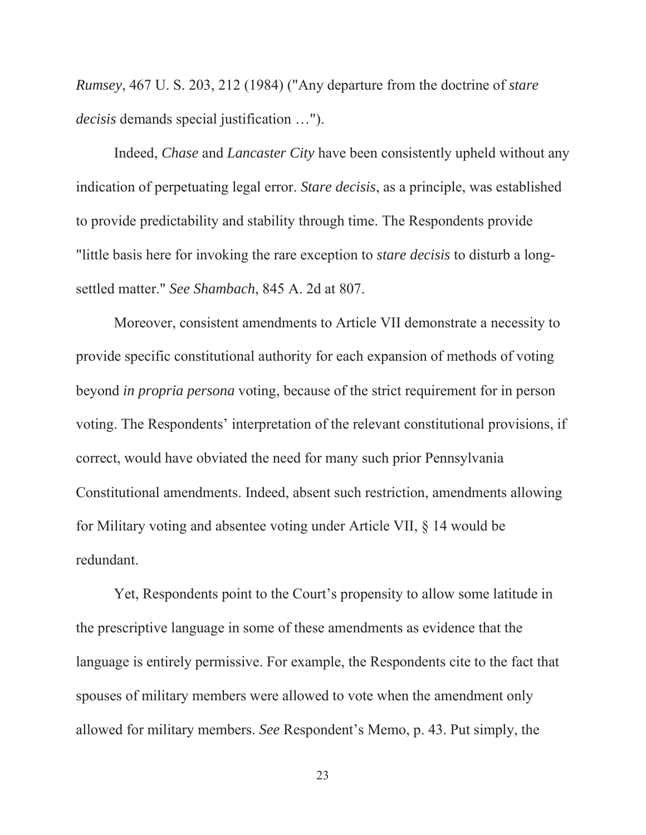*Rumsey*, 467 U. S. 203, 212 (1984) ("Any departure from the doctrine of *stare decisis* demands special justification …").

Indeed, *Chase* and *Lancaster City* have been consistently upheld without any indication of perpetuating legal error. *Stare decisis*, as a principle, was established to provide predictability and stability through time. The Respondents provide "little basis here for invoking the rare exception to *stare decisis* to disturb a longsettled matter." *See Shambach*, 845 A. 2d at 807.

Moreover, consistent amendments to Article VII demonstrate a necessity to provide specific constitutional authority for each expansion of methods of voting beyond *in propria persona* voting, because of the strict requirement for in person voting. The Respondents' interpretation of the relevant constitutional provisions, if correct, would have obviated the need for many such prior Pennsylvania Constitutional amendments. Indeed, absent such restriction, amendments allowing for Military voting and absentee voting under Article VII, § 14 would be redundant.

Yet, Respondents point to the Court's propensity to allow some latitude in the prescriptive language in some of these amendments as evidence that the language is entirely permissive. For example, the Respondents cite to the fact that spouses of military members were allowed to vote when the amendment only allowed for military members. *See* Respondent's Memo, p. 43. Put simply, the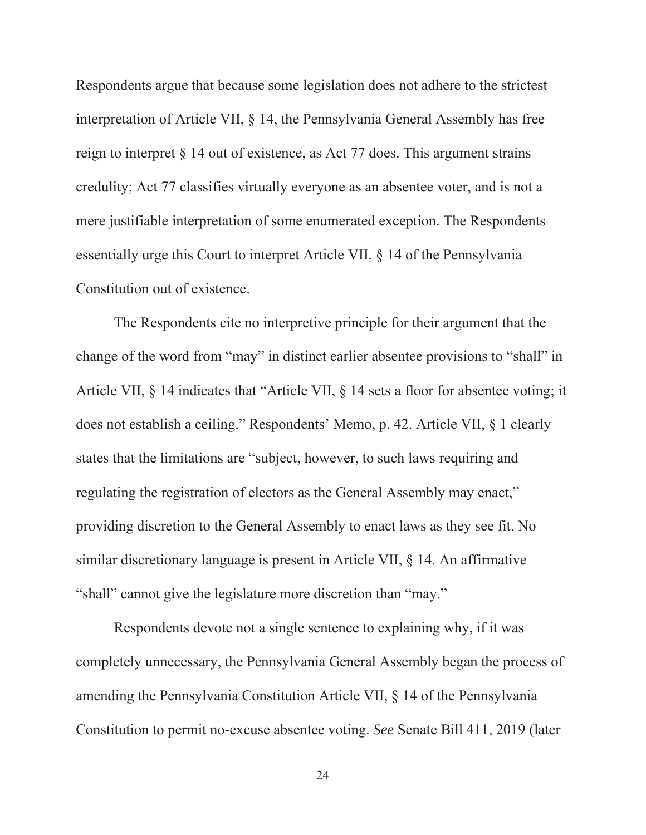Respondents argue that because some legislation does not adhere to the strictest interpretation of Article VII, § 14, the Pennsylvania General Assembly has free reign to interpret § 14 out of existence, as Act 77 does. This argument strains credulity; Act 77 classifies virtually everyone as an absentee voter, and is not a mere justifiable interpretation of some enumerated exception. The Respondents essentially urge this Court to interpret Article VII, § 14 of the Pennsylvania Constitution out of existence.

The Respondents cite no interpretive principle for their argument that the change of the word from "may" in distinct earlier absentee provisions to "shall" in Article VII, § 14 indicates that "Article VII, § 14 sets a floor for absentee voting; it does not establish a ceiling." Respondents' Memo, p. 42. Article VII, § 1 clearly states that the limitations are "subject, however, to such laws requiring and regulating the registration of electors as the General Assembly may enact," providing discretion to the General Assembly to enact laws as they see fit. No similar discretionary language is present in Article VII, § 14. An affirmative "shall" cannot give the legislature more discretion than "may."

Respondents devote not a single sentence to explaining why, if it was completely unnecessary, the Pennsylvania General Assembly began the process of amending the Pennsylvania Constitution Article VII, § 14 of the Pennsylvania Constitution to permit no-excuse absentee voting. *See* Senate Bill 411, 2019 (later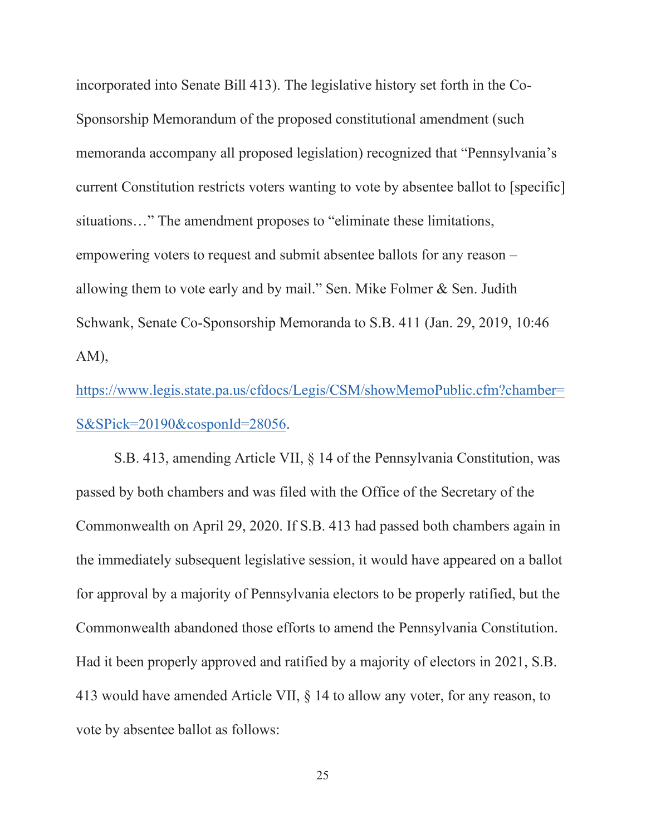incorporated into Senate Bill 413). The legislative history set forth in the Co-Sponsorship Memorandum of the proposed constitutional amendment (such memoranda accompany all proposed legislation) recognized that "Pennsylvania's current Constitution restricts voters wanting to vote by absentee ballot to [specific] situations…" The amendment proposes to "eliminate these limitations, empowering voters to request and submit absentee ballots for any reason – allowing them to vote early and by mail." Sen. Mike Folmer & Sen. Judith Schwank, Senate Co-Sponsorship Memoranda to S.B. 411 (Jan. 29, 2019, 10:46 AM),

https://www.legis.state.pa.us/cfdocs/Legis/CSM/showMemoPublic.cfm?chamber= S&SPick=20190&cosponId=28056.

S.B. 413, amending Article VII, § 14 of the Pennsylvania Constitution, was passed by both chambers and was filed with the Office of the Secretary of the Commonwealth on April 29, 2020. If S.B. 413 had passed both chambers again in the immediately subsequent legislative session, it would have appeared on a ballot for approval by a majority of Pennsylvania electors to be properly ratified, but the Commonwealth abandoned those efforts to amend the Pennsylvania Constitution. Had it been properly approved and ratified by a majority of electors in 2021, S.B. 413 would have amended Article VII, § 14 to allow any voter, for any reason, to vote by absentee ballot as follows: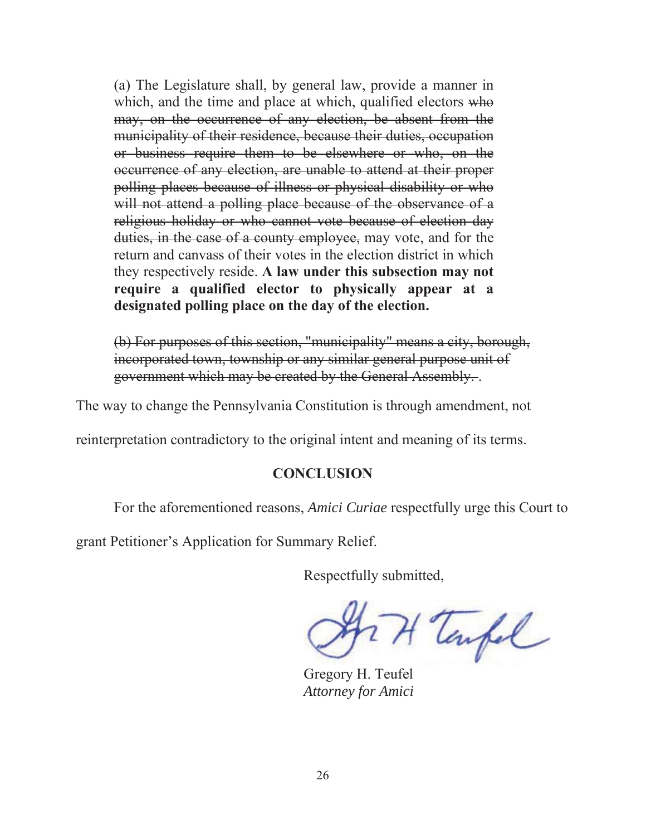(a) The Legislature shall, by general law, provide a manner in which, and the time and place at which, qualified electors who may, on the occurrence of any election, be absent from the municipality of their residence, because their duties, occupation or business require them to be elsewhere or who, on the occurrence of any election, are unable to attend at their proper polling places because of illness or physical disability or who will not attend a polling place because of the observance of a religious holiday or who cannot vote because of election day duties, in the case of a county employee, may vote, and for the return and canvass of their votes in the election district in which they respectively reside. **A law under this subsection may not require a qualified elector to physically appear at a designated polling place on the day of the election.**

(b) For purposes of this section, "municipality" means a city, borough, incorporated town, township or any similar general purpose unit of government which may be created by the General Assembly. .

The way to change the Pennsylvania Constitution is through amendment, not

reinterpretation contradictory to the original intent and meaning of its terms.

### **CONCLUSION**

For the aforementioned reasons, *Amici Curiae* respectfully urge this Court to

grant Petitioner's Application for Summary Relief.

Respectfully submitted,

TH Tempel

Gregory H. Teufel *Attorney for Amici*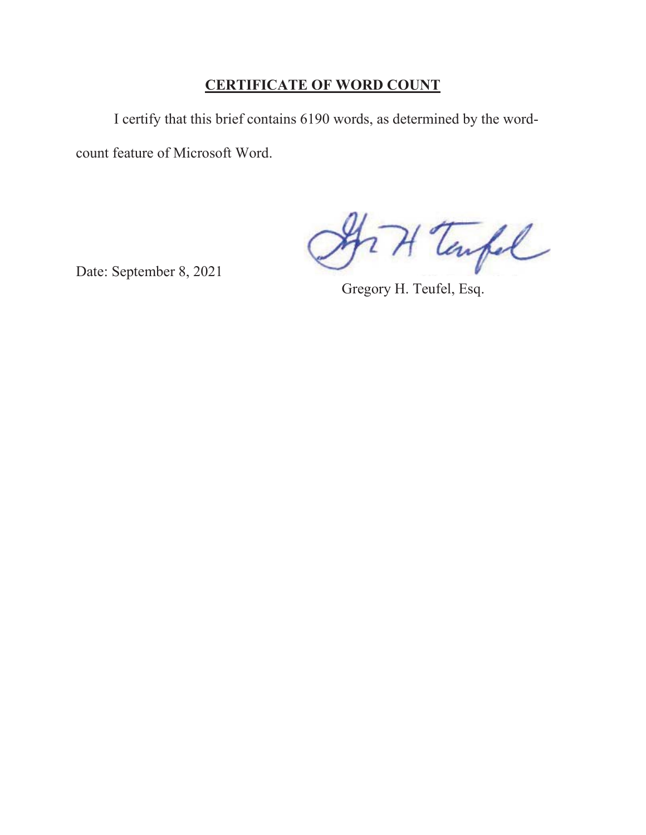# **CERTIFICATE OF WORD COUNT**

I certify that this brief contains 6190 words, as determined by the wordcount feature of Microsoft Word.

271 Tarpel

Date: September 8, 2021

Gregory H. Teufel, Esq.